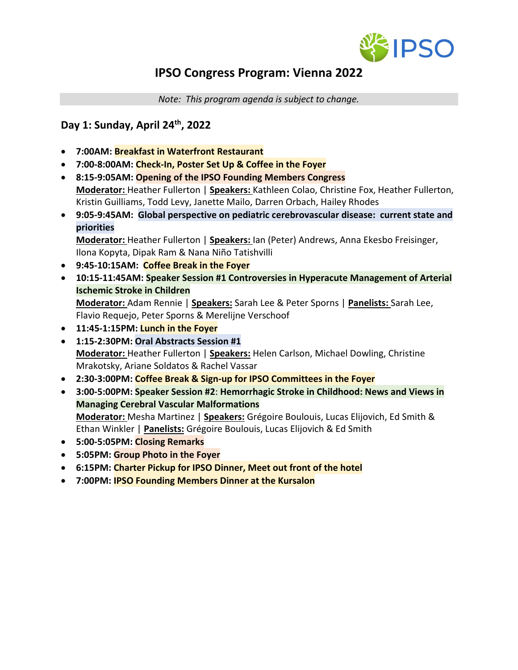

# **IPSO Congress Program: Vienna 2022**

*Note: This program agenda is subject to change.*

#### **Day 1: Sunday, April 24th, 2022**

- **7:00AM: Breakfast in Waterfront Restaurant**
- **7:00-8:00AM: Check-In, Poster Set Up & Coffee in the Foyer**
- **8:15-9:05AM: Opening of the IPSO Founding Members Congress Moderator:** Heather Fullerton | **Speakers:** Kathleen Colao, Christine Fox, Heather Fullerton, Kristin Guilliams, Todd Levy, Janette Mailo, Darren Orbach, Hailey Rhodes
- **9:05-9:45AM: Global perspective on pediatric cerebrovascular disease: current state and priorities**

**Moderator:** Heather Fullerton | **Speakers:** Ian (Peter) Andrews, Anna Ekesbo Freisinger, Ilona Kopyta, Dipak Ram & Nana Niño Tatishvilli

- **9:45-10:15AM: Coffee Break in the Foyer**
- **10:15-11:45AM: Speaker Session #1 Controversies in Hyperacute Management of Arterial Ischemic Stroke in Children Moderator:** Adam Rennie | **Speakers:** Sarah Lee & Peter Sporns | **Panelists:** Sarah Lee,

Flavio Requejo, Peter Sporns & Merelijne Verschoof • **11:45-1:15PM: Lunch in the Foyer**

- **1:15-2:30PM: Oral Abstracts Session #1 Moderator:** Heather Fullerton | **Speakers:** Helen Carlson, Michael Dowling, Christine Mrakotsky, Ariane Soldatos & Rachel Vassar
- **2:30-3:00PM: Coffee Break & Sign-up for IPSO Committees in the Foyer**
- **3:00-5:00PM: Speaker Session #2**: **Hemorrhagic Stroke in Childhood: News and Views in Managing Cerebral Vascular Malformations Moderator:** Mesha Martinez | **Speakers:** Grégoire Boulouis, Lucas Elijovich, Ed Smith & Ethan Winkler | **Panelists:** Grégoire Boulouis, Lucas Elijovich & Ed Smith
- **5:00-5:05PM: Closing Remarks**
- **5:05PM: Group Photo in the Foyer**
- **6:15PM: Charter Pickup for IPSO Dinner, Meet out front of the hotel**
- **7:00PM: IPSO Founding Members Dinner at the Kursalon**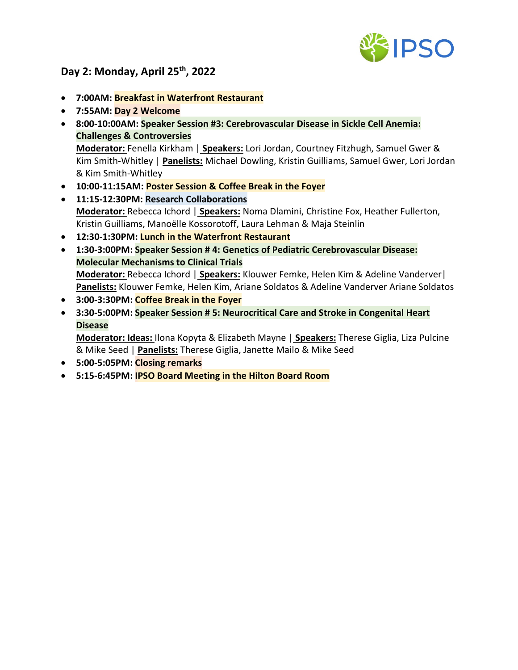

## **Day 2: Monday, April 25th, 2022**

- **7:00AM: Breakfast in Waterfront Restaurant**
- **7:55AM: Day 2 Welcome**
- **8:00-10:00AM: Speaker Session #3: Cerebrovascular Disease in Sickle Cell Anemia: Challenges & Controversies Moderator:** Fenella Kirkham | **Speakers:** Lori Jordan, Courtney Fitzhugh, Samuel Gwer & Kim Smith-Whitley | **Panelists:** Michael Dowling, Kristin Guilliams, Samuel Gwer, Lori Jordan & Kim Smith-Whitley
- **10:00-11:15AM: Poster Session & Coffee Break in the Foyer**
- **11:15-12:30PM: Research Collaborations Moderator:** Rebecca Ichord | **Speakers:** Noma Dlamini, Christine Fox, Heather Fullerton, Kristin Guilliams, Manoëlle Kossorotoff, Laura Lehman & Maja Steinlin
- **12:30-1:30PM: Lunch in the Waterfront Restaurant**
- **1:30-3:00PM: Speaker Session # 4: Genetics of Pediatric Cerebrovascular Disease: Molecular Mechanisms to Clinical Trials Moderator:** Rebecca Ichord | **Speakers:** Klouwer Femke, Helen Kim & Adeline Vanderver| **Panelists:** Klouwer Femke, Helen Kim, Ariane Soldatos & Adeline Vanderver Ariane Soldatos
- **3:00-3:30PM: Coffee Break in the Foyer**
- **3:30-5:00PM: Speaker Session # 5: Neurocritical Care and Stroke in Congenital Heart Disease**

**Moderator: Ideas:** Ilona Kopyta & Elizabeth Mayne | **Speakers:** Therese Giglia, Liza Pulcine & Mike Seed | **Panelists:** Therese Giglia, Janette Mailo & Mike Seed

- **5:00-5:05PM: Closing remarks**
- **5:15-6:45PM: IPSO Board Meeting in the Hilton Board Room**